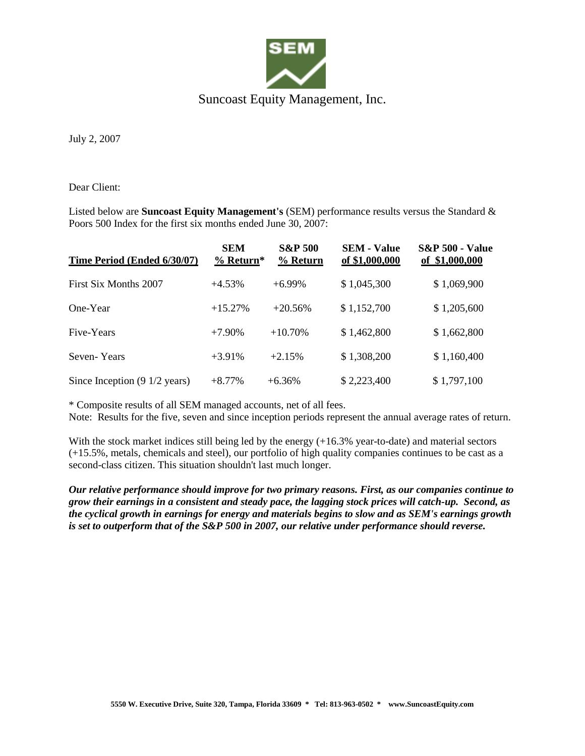

July 2, 2007

Dear Client:

Listed below are **Suncoast Equity Management's** (SEM) performance results versus the Standard & Poors 500 Index for the first six months ended June 30, 2007:

| Time Period (Ended 6/30/07)              | <b>SEM</b><br>$%$ Return* | <b>S&amp;P 500</b><br>% Return | <b>SEM - Value</b><br>of \$1,000,000 | <b>S&amp;P 500 - Value</b><br>of \$1,000,000 |
|------------------------------------------|---------------------------|--------------------------------|--------------------------------------|----------------------------------------------|
| First Six Months 2007                    | $+4.53\%$                 | $+6.99\%$                      | \$1,045,300                          | \$1,069,900                                  |
| One-Year                                 | $+15.27%$                 | $+20.56%$                      | \$1,152,700                          | \$1,205,600                                  |
| Five-Years                               | $+7.90\%$                 | $+10.70%$                      | \$1,462,800                          | \$1,662,800                                  |
| Seven-Years                              | $+3.91\%$                 | $+2.15%$                       | \$1,308,200                          | \$1,160,400                                  |
| Since Inception $(9\ 1/2\ \text{years})$ | $+8.77%$                  | $+6.36%$                       | \$2,223,400                          | \$1,797,100                                  |

\* Composite results of all SEM managed accounts, net of all fees.

Note: Results for the five, seven and since inception periods represent the annual average rates of return.

With the stock market indices still being led by the energy  $(+16.3\%$  year-to-date) and material sectors (+15.5%, metals, chemicals and steel), our portfolio of high quality companies continues to be cast as a second-class citizen. This situation shouldn't last much longer.

*Our relative performance should improve for two primary reasons. First, as our companies continue to grow their earnings in a consistent and steady pace, the lagging stock prices will catch-up. Second, as the cyclical growth in earnings for energy and materials begins to slow and as SEM's earnings growth is set to outperform that of the S&P 500 in 2007, our relative under performance should reverse.*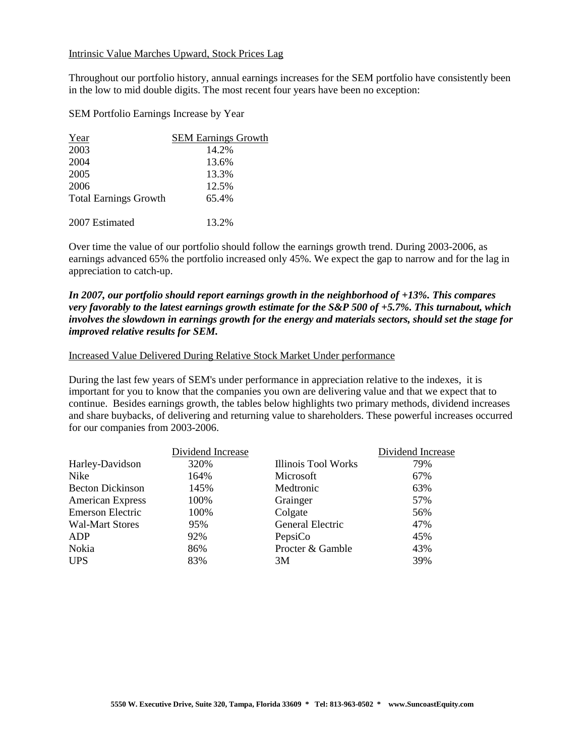## Intrinsic Value Marches Upward, Stock Prices Lag

Throughout our portfolio history, annual earnings increases for the SEM portfolio have consistently been in the low to mid double digits. The most recent four years have been no exception:

SEM Portfolio Earnings Increase by Year

| Year                         | <b>SEM Earnings Growth</b> |
|------------------------------|----------------------------|
| 2003                         | 14.2%                      |
| 2004                         | 13.6%                      |
| 2005                         | 13.3%                      |
| 2006                         | 12.5%                      |
| <b>Total Earnings Growth</b> | 65.4%                      |
| 2007 Estimated               | 13.2%                      |

Over time the value of our portfolio should follow the earnings growth trend. During 2003-2006, as earnings advanced 65% the portfolio increased only 45%. We expect the gap to narrow and for the lag in appreciation to catch-up.

## *In 2007, our portfolio should report earnings growth in the neighborhood of +13%. This compares very favorably to the latest earnings growth estimate for the S&P 500 of +5.7%. This turnabout, which involves the slowdown in earnings growth for the energy and materials sectors, should set the stage for improved relative results for SEM.*

## Increased Value Delivered During Relative Stock Market Under performance

During the last few years of SEM's under performance in appreciation relative to the indexes, it is important for you to know that the companies you own are delivering value and that we expect that to continue. Besides earnings growth, the tables below highlights two primary methods, dividend increases and share buybacks, of delivering and returning value to shareholders. These powerful increases occurred for our companies from 2003-2006.

|                         | Dividend Increase |                            | Dividend Increase |
|-------------------------|-------------------|----------------------------|-------------------|
| Harley-Davidson         | 320%              | <b>Illinois Tool Works</b> | 79%               |
| Nike                    | 164%              | Microsoft                  | 67%               |
| <b>Becton Dickinson</b> | 145%              | Medtronic                  | 63%               |
| <b>American Express</b> | 100%              | Grainger                   | 57%               |
| Emerson Electric        | 100%              | Colgate                    | 56%               |
| <b>Wal-Mart Stores</b>  | 95%               | General Electric           | 47%               |
| ADP                     | 92%               | PepsiCo                    | 45%               |
| Nokia                   | 86%               | Procter & Gamble           | 43%               |
| <b>UPS</b>              | 83%               | 3M                         | 39%               |